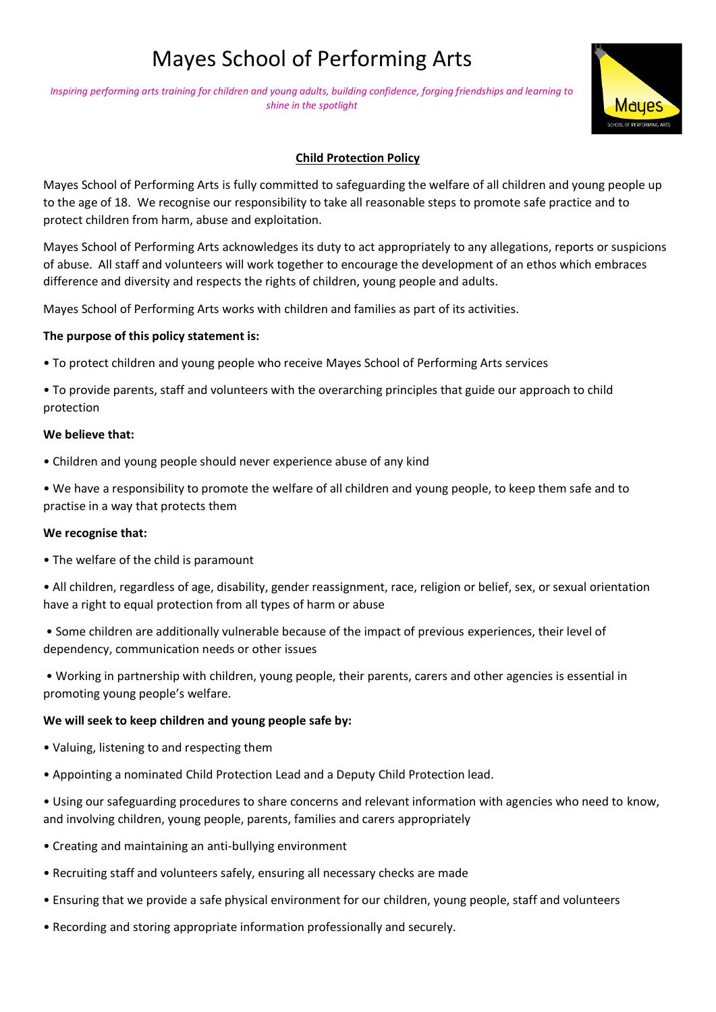# Mayes School of Performing Arts

*Inspiring performing arts training for children and young adults, building confidence, forging friendships and learning to shine in the spotlight*



# **Child Protection Policy**

Mayes School of Performing Arts is fully committed to safeguarding the welfare of all children and young people up to the age of 18. We recognise our responsibility to take all reasonable steps to promote safe practice and to protect children from harm, abuse and exploitation.

Mayes School of Performing Arts acknowledges its duty to act appropriately to any allegations, reports or suspicions of abuse. All staff and volunteers will work together to encourage the development of an ethos which embraces difference and diversity and respects the rights of children, young people and adults.

Mayes School of Performing Arts works with children and families as part of its activities.

# **The purpose of this policy statement is:**

• To protect children and young people who receive Mayes School of Performing Arts services

• To provide parents, staff and volunteers with the overarching principles that guide our approach to child protection

## **We believe that:**

• Children and young people should never experience abuse of any kind

• We have a responsibility to promote the welfare of all children and young people, to keep them safe and to practise in a way that protects them

## **We recognise that:**

• The welfare of the child is paramount

• All children, regardless of age, disability, gender reassignment, race, religion or belief, sex, or sexual orientation have a right to equal protection from all types of harm or abuse

• Some children are additionally vulnerable because of the impact of previous experiences, their level of dependency, communication needs or other issues

• Working in partnership with children, young people, their parents, carers and other agencies is essential in promoting young people's welfare.

# **We will seek to keep children and young people safe by:**

- Valuing, listening to and respecting them
- Appointing a nominated Child Protection Lead and a Deputy Child Protection lead.
- Using our safeguarding procedures to share concerns and relevant information with agencies who need to know, and involving children, young people, parents, families and carers appropriately
- Creating and maintaining an anti-bullying environment
- Recruiting staff and volunteers safely, ensuring all necessary checks are made
- Ensuring that we provide a safe physical environment for our children, young people, staff and volunteers
- Recording and storing appropriate information professionally and securely.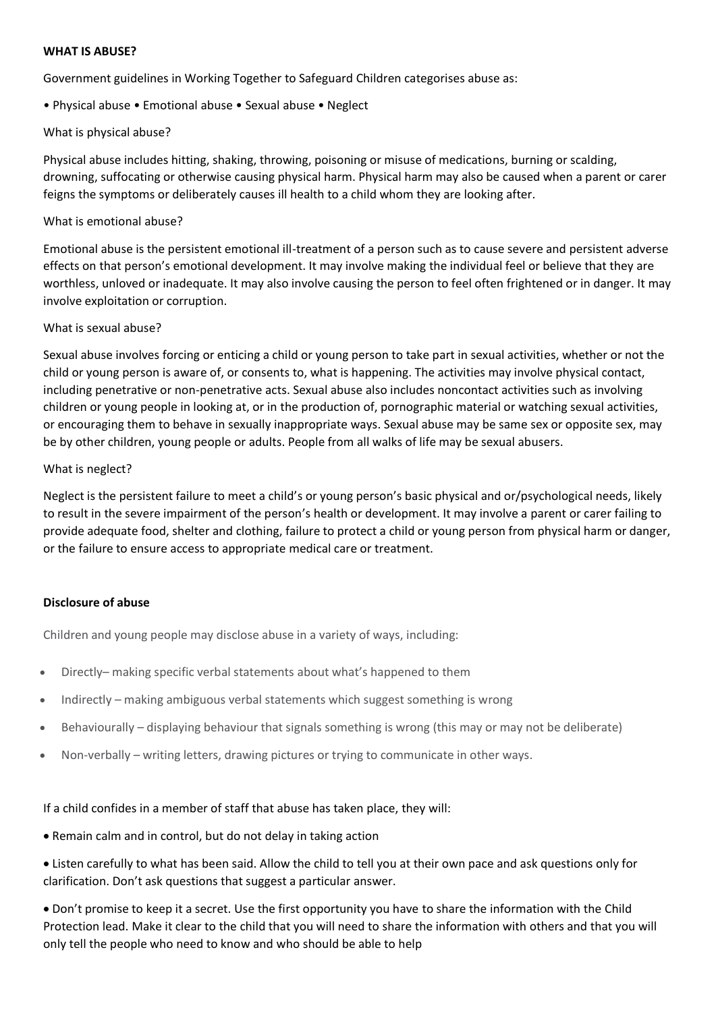## **WHAT IS ABUSE?**

Government guidelines in Working Together to Safeguard Children categorises abuse as:

# • Physical abuse • Emotional abuse • Sexual abuse • Neglect

# What is physical abuse?

Physical abuse includes hitting, shaking, throwing, poisoning or misuse of medications, burning or scalding, drowning, suffocating or otherwise causing physical harm. Physical harm may also be caused when a parent or carer feigns the symptoms or deliberately causes ill health to a child whom they are looking after.

# What is emotional abuse?

Emotional abuse is the persistent emotional ill-treatment of a person such as to cause severe and persistent adverse effects on that person's emotional development. It may involve making the individual feel or believe that they are worthless, unloved or inadequate. It may also involve causing the person to feel often frightened or in danger. It may involve exploitation or corruption.

## What is sexual abuse?

Sexual abuse involves forcing or enticing a child or young person to take part in sexual activities, whether or not the child or young person is aware of, or consents to, what is happening. The activities may involve physical contact, including penetrative or non-penetrative acts. Sexual abuse also includes noncontact activities such as involving children or young people in looking at, or in the production of, pornographic material or watching sexual activities, or encouraging them to behave in sexually inappropriate ways. Sexual abuse may be same sex or opposite sex, may be by other children, young people or adults. People from all walks of life may be sexual abusers.

## What is neglect?

Neglect is the persistent failure to meet a child's or young person's basic physical and or/psychological needs, likely to result in the severe impairment of the person's health or development. It may involve a parent or carer failing to provide adequate food, shelter and clothing, failure to protect a child or young person from physical harm or danger, or the failure to ensure access to appropriate medical care or treatment.

# **Disclosure of abuse**

Children and young people may disclose abuse in a variety of ways, including:

- Directly– making specific verbal statements about what's happened to them
- Indirectly making ambiguous verbal statements which suggest something is wrong
- Behaviourally displaying behaviour that signals something is wrong (this may or may not be deliberate)
- Non-verbally writing letters, drawing pictures or trying to communicate in other ways.

## If a child confides in a member of staff that abuse has taken place, they will:

- Remain calm and in control, but do not delay in taking action
- Listen carefully to what has been said. Allow the child to tell you at their own pace and ask questions only for clarification. Don't ask questions that suggest a particular answer.

• Don't promise to keep it a secret. Use the first opportunity you have to share the information with the Child Protection lead. Make it clear to the child that you will need to share the information with others and that you will only tell the people who need to know and who should be able to help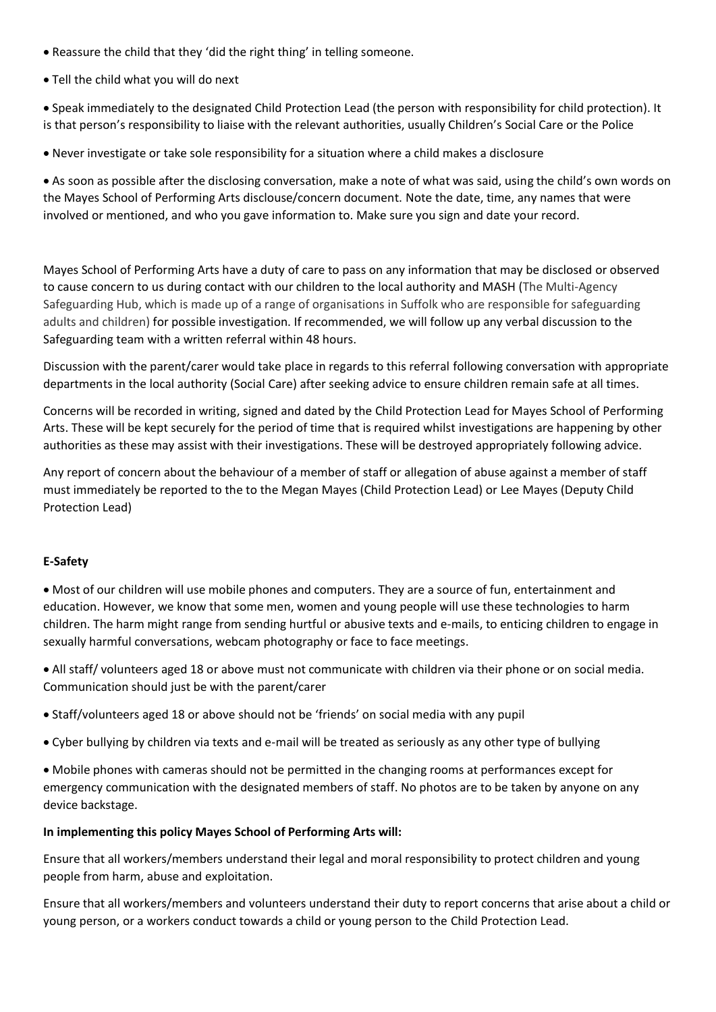- Reassure the child that they 'did the right thing' in telling someone.
- Tell the child what you will do next

• Speak immediately to the designated Child Protection Lead (the person with responsibility for child protection). It is that person's responsibility to liaise with the relevant authorities, usually Children's Social Care or the Police

• Never investigate or take sole responsibility for a situation where a child makes a disclosure

• As soon as possible after the disclosing conversation, make a note of what was said, using the child's own words on the Mayes School of Performing Arts disclouse/concern document. Note the date, time, any names that were involved or mentioned, and who you gave information to. Make sure you sign and date your record.

Mayes School of Performing Arts have a duty of care to pass on any information that may be disclosed or observed to cause concern to us during contact with our children to the local authority and MASH (The Multi-Agency Safeguarding Hub, which is made up of a range of organisations in Suffolk who are responsible for safeguarding adults and children) for possible investigation. If recommended, we will follow up any verbal discussion to the Safeguarding team with a written referral within 48 hours.

Discussion with the parent/carer would take place in regards to this referral following conversation with appropriate departments in the local authority (Social Care) after seeking advice to ensure children remain safe at all times.

Concerns will be recorded in writing, signed and dated by the Child Protection Lead for Mayes School of Performing Arts. These will be kept securely for the period of time that is required whilst investigations are happening by other authorities as these may assist with their investigations. These will be destroyed appropriately following advice.

Any report of concern about the behaviour of a member of staff or allegation of abuse against a member of staff must immediately be reported to the to the Megan Mayes (Child Protection Lead) or Lee Mayes (Deputy Child Protection Lead)

# **E-Safety**

• Most of our children will use mobile phones and computers. They are a source of fun, entertainment and education. However, we know that some men, women and young people will use these technologies to harm children. The harm might range from sending hurtful or abusive texts and e-mails, to enticing children to engage in sexually harmful conversations, webcam photography or face to face meetings.

• All staff/ volunteers aged 18 or above must not communicate with children via their phone or on social media. Communication should just be with the parent/carer

- Staff/volunteers aged 18 or above should not be 'friends' on social media with any pupil
- Cyber bullying by children via texts and e-mail will be treated as seriously as any other type of bullying

• Mobile phones with cameras should not be permitted in the changing rooms at performances except for emergency communication with the designated members of staff. No photos are to be taken by anyone on any device backstage.

## **In implementing this policy Mayes School of Performing Arts will:**

Ensure that all workers/members understand their legal and moral responsibility to protect children and young people from harm, abuse and exploitation.

Ensure that all workers/members and volunteers understand their duty to report concerns that arise about a child or young person, or a workers conduct towards a child or young person to the Child Protection Lead.